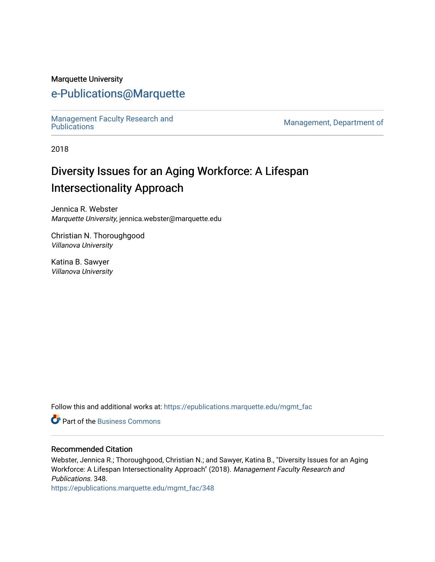### Marquette University

# [e-Publications@Marquette](https://epublications.marquette.edu/)

Management Faculty Research and<br>Publications

Management, Department of

2018

# Diversity Issues for an Aging Workforce: A Lifespan Intersectionality Approach

Jennica R. Webster Marquette University, jennica.webster@marquette.edu

Christian N. Thoroughgood Villanova University

Katina B. Sawyer Villanova University

Follow this and additional works at: [https://epublications.marquette.edu/mgmt\\_fac](https://epublications.marquette.edu/mgmt_fac?utm_source=epublications.marquette.edu%2Fmgmt_fac%2F348&utm_medium=PDF&utm_campaign=PDFCoverPages) 

**P** Part of the [Business Commons](http://network.bepress.com/hgg/discipline/622?utm_source=epublications.marquette.edu%2Fmgmt_fac%2F348&utm_medium=PDF&utm_campaign=PDFCoverPages)

## Recommended Citation

Webster, Jennica R.; Thoroughgood, Christian N.; and Sawyer, Katina B., "Diversity Issues for an Aging Workforce: A Lifespan Intersectionality Approach" (2018). Management Faculty Research and Publications. 348.

[https://epublications.marquette.edu/mgmt\\_fac/348](https://epublications.marquette.edu/mgmt_fac/348?utm_source=epublications.marquette.edu%2Fmgmt_fac%2F348&utm_medium=PDF&utm_campaign=PDFCoverPages)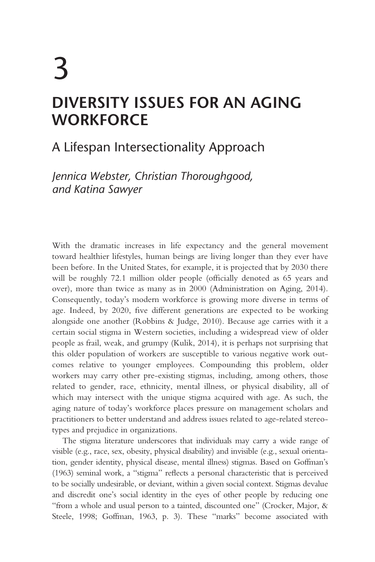# **DIVERSITY ISSUES FOR AN AGING WORKFORCE**

## A Lifespan Intersectionality Approach

*Jennica Webster, Christian Thoroughgood, and Katina Sawyer* 

With the dramatic increases in life expectancy and the general movement toward healthier lifestyles, human beings are living longer than they ever have been before. In the United States, for example, it is projected that by 2030 there will be roughly 72.1 million older people (officially denoted as 65 years and over), more than twice as many as in 2000 (Administration on Aging, 2014). Consequently, today's modern workforce is growing more diverse in terms of age. Indeed, by 2020, fve different generations are expected to be working alongside one another (Robbins & Judge, 2010). Because age carries with it a certain social stigma in Western societies, including a widespread view of older people as frail, weak, and grumpy (Kulik, 2014), it is perhaps not surprising that this older population of workers are susceptible to various negative work outcomes relative to younger employees. Compounding this problem, older workers may carry other pre-existing stigmas, including, among others, those related to gender, race, ethnicity, mental illness, or physical disability, all of which may intersect with the unique stigma acquired with age. As such, the aging nature of today's workforce places pressure on management scholars and practitioners to better understand and address issues related to age-related stereotypes and prejudice in organizations.

The stigma literature underscores that individuals may carry a wide range of visible (e.g., race, sex, obesity, physical disability) and invisible (e.g., sexual orientation, gender identity, physical disease, mental illness) stigmas. Based on Goffman's (1963) seminal work, a "stigma" refects a personal characteristic that is perceived to be socially undesirable, or deviant, within a given social context. Stigmas devalue and discredit one's social identity in the eyes of other people by reducing one "from a whole and usual person to a tainted, discounted one" (Crocker, Major, & Steele, 1998; Goffman, 1963, p. 3). These "marks" become associated with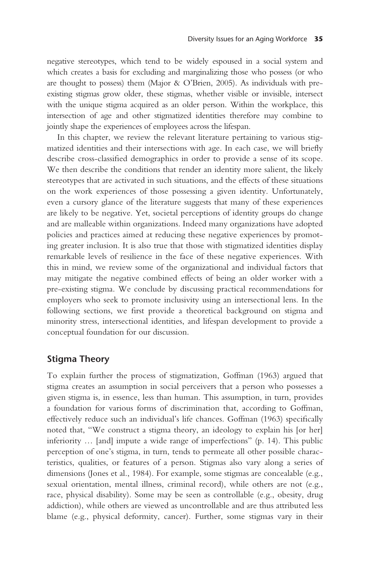negative stereotypes, which tend to be widely espoused in a social system and which creates a basis for excluding and marginalizing those who possess (or who intersection of age and other stigmatized identities therefore may combine to are thought to possess) them (Major & O'Brien, 2005). As individuals with preexisting stigmas grow older, these stigmas, whether visible or invisible, intersect with the unique stigma acquired as an older person. Within the workplace, this jointly shape the experiences of employees across the lifespan.

In this chapter, we review the relevant literature pertaining to various stigmatized identities and their intersections with age. In each case, we will briefy describe cross-classifed demographics in order to provide a sense of its scope. We then describe the conditions that render an identity more salient, the likely stereotypes that are activated in such situations, and the effects of these situations on the work experiences of those possessing a given identity. Unfortunately, even a cursory glance of the literature suggests that many of these experiences are likely to be negative. Yet, societal perceptions of identity groups do change and are malleable within organizations. Indeed many organizations have adopted policies and practices aimed at reducing these negative experiences by promoting greater inclusion. It is also true that those with stigmatized identities display remarkable levels of resilience in the face of these negative experiences. With this in mind, we review some of the organizational and individual factors that may mitigate the negative combined effects of being an older worker with a pre-existing stigma. We conclude by discussing practical recommendations for employers who seek to promote inclusivity using an intersectional lens. In the following sections, we frst provide a theoretical background on stigma and minority stress, intersectional identities, and lifespan development to provide a conceptual foundation for our discussion.

#### **Stigma Theory**

To explain further the process of stigmatization, Goffman (1963) argued that stigma creates an assumption in social perceivers that a person who possesses a given stigma is, in essence, less than human. This assumption, in turn, provides a foundation for various forms of discrimination that, according to Goffman, effectively reduce such an individual's life chances. Goffman (1963) specifcally noted that, "We construct a stigma theory, an ideology to explain his [or her] inferiority … [and] impute a wide range of imperfections" (p. 14). This public perception of one's stigma, in turn, tends to permeate all other possible characteristics, qualities, or features of a person. Stigmas also vary along a series of dimensions (Jones et al., 1984). For example, some stigmas are concealable (e.g., sexual orientation, mental illness, criminal record), while others are not (e.g., race, physical disability). Some may be seen as controllable (e.g., obesity, drug addiction), while others are viewed as uncontrollable and are thus attributed less blame (e.g., physical deformity, cancer). Further, some stigmas vary in their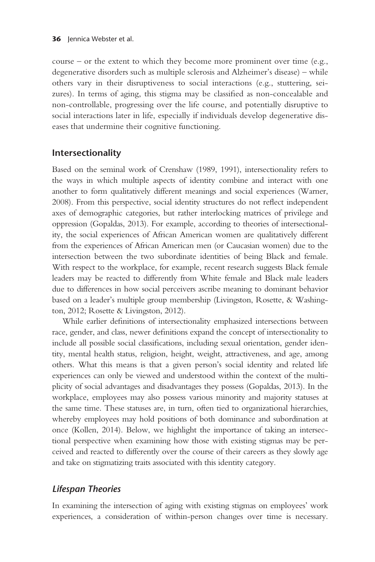course – or the extent to which they become more prominent over time (e.g., degenerative disorders such as multiple sclerosis and Alzheimer's disease) – while others vary in their disruptiveness to social interactions (e.g., stuttering, seizures). In terms of aging, this stigma may be classifed as non-concealable and non-controllable, progressing over the life course, and potentially disruptive to social interactions later in life, especially if individuals develop degenerative diseases that undermine their cognitive functioning.

#### **Intersectionality**

 Based on the seminal work of Crenshaw (1989, 1991), intersectionality refers to the ways in which multiple aspects of identity combine and interact with one another to form qualitatively different meanings and social experiences (Warner, 2008). From this perspective, social identity structures do not refect independent axes of demographic categories, but rather interlocking matrices of privilege and ity, the social experiences of African American women are qualitatively different from the experiences of African American men (or Caucasian women) due to the With respect to the workplace, for example, recent research suggests Black female due to differences in how social perceivers ascribe meaning to dominant behavior oppression (Gopaldas, 2013). For example, according to theories of intersectionalintersection between the two subordinate identities of being Black and female. leaders may be reacted to differently from White female and Black male leaders based on a leader's multiple group membership (Livingston, Rosette, & Washington, 2012; Rosette & Livingston, 2012).

 race, gender, and class, newer defnitions expand the concept of intersectionality to tity, mental health status, religion, height, weight, attractiveness, and age, among others. What this means is that a given person's social identity and related life plicity of social advantages and disadvantages they possess (Gopaldas, 2013). In the workplace, employees may also possess various minority and majority statuses at the same time. These statuses are, in turn, often tied to organizational hierarchies, whereby employees may hold positions of both dominance and subordination at ceived and reacted to differently over the course of their careers as they slowly age While earlier defnitions of intersectionality emphasized intersections between include all possible social classifcations, including sexual orientation, gender idenexperiences can only be viewed and understood within the context of the multionce (Kollen, 2014). Below, we highlight the importance of taking an intersectional perspective when examining how those with existing stigmas may be perand take on stigmatizing traits associated with this identity category.

## *Lifespan Theories*

 In examining the intersection of aging with existing stigmas on employees' work experiences, a consideration of within-person changes over time is necessary.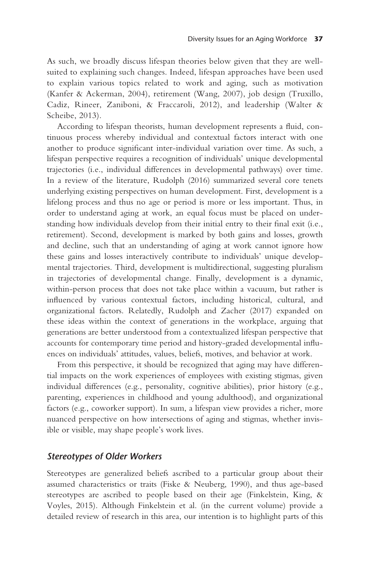suited to explaining such changes. Indeed, lifespan approaches have been used to explain various topics related to work and aging, such as motivation (Kanfer & Ackerman, 2004), retirement (Wang, 2007), job design (Truxillo, Cadiz, Rineer, Zaniboni, & Fraccaroli, 2012), and leadership (Walter & As such, we broadly discuss lifespan theories below given that they are well-Scheibe, 2013).

According to lifespan theorists, human development represents a fuid, continuous process whereby individual and contextual factors interact with one another to produce signifcant inter-individual variation over time. As such, a lifespan perspective requires a recognition of individuals' unique developmental trajectories (i.e., individual differences in developmental pathways) over time. In a review of the literature, Rudolph (2016) summarized several core tenets underlying existing perspectives on human development. First, development is a lifelong process and thus no age or period is more or less important. Thus, in order to understand aging at work, an equal focus must be placed on understanding how individuals develop from their initial entry to their fnal exit (i.e., retirement). Second, development is marked by both gains and losses, growth and decline, such that an understanding of aging at work cannot ignore how these gains and losses interactively contribute to individuals' unique developmental trajectories. Third, development is multidirectional, suggesting pluralism in trajectories of developmental change. Finally, development is a dynamic, within-person process that does not take place within a vacuum, but rather is infuenced by various contextual factors, including historical, cultural, and organizational factors. Relatedly, Rudolph and Zacher (2017) expanded on these ideas within the context of generations in the workplace, arguing that generations are better understood from a contextualized lifespan perspective that accounts for contemporary time period and history-graded developmental infuences on individuals' attitudes, values, beliefs, motives, and behavior at work.

From this perspective, it should be recognized that aging may have differential impacts on the work experiences of employees with existing stigmas, given individual differences (e.g., personality, cognitive abilities), prior history (e.g., parenting, experiences in childhood and young adulthood), and organizational factors (e.g., coworker support). In sum, a lifespan view provides a richer, more nuanced perspective on how intersections of aging and stigmas, whether invisible or visible, may shape people's work lives.

#### *Stereotypes of Older Workers*

Stereotypes are generalized beliefs ascribed to a particular group about their assumed characteristics or traits (Fiske & Neuberg, 1990), and thus age-based stereotypes are ascribed to people based on their age (Finkelstein, King, & Voyles, 2015). Although Finkelstein et al. (in the current volume) provide a detailed review of research in this area, our intention is to highlight parts of this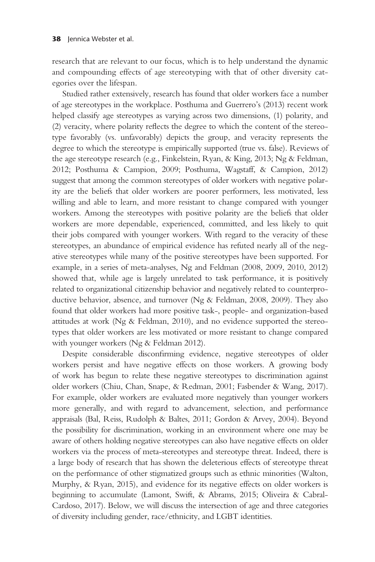research that are relevant to our focus, which is to help understand the dynamic and compounding effects of age stereotyping with that of other diversity categories over the lifespan.

 helped classify age stereotypes as varying across two dimensions, (1) polarity, and degree to which the stereotype is empirically supported (true vs. false). Reviews of the age stereotype research (e.g., Finkelstein, Ryan, & King, 2013; Ng & Feldman, 2012; Posthuma & Campion, 2009; Posthuma, Wagstaff, & Campion, 2012) ity are the beliefs that older workers are poorer performers, less motivated, less willing and able to learn, and more resistant to change compared with younger workers. Among the stereotypes with positive polarity are the beliefs that older workers are more dependable, experienced, committed, and less likely to quit their jobs compared with younger workers. With regard to the veracity of these ative stereotypes while many of the positive stereotypes have been supported. For example, in a series of meta-analyses, Ng and Feldman (2008, 2009, 2010, 2012) showed that, while age is largely unrelated to task performance, it is positively ductive behavior, absence, and turnover (Ng & Feldman, 2008, 2009). They also found that older workers had more positive task-, people- and organization-based types that older workers are less motivated or more resistant to change compared Studied rather extensively, research has found that older workers face a number of age stereotypes in the workplace. Posthuma and Guerrero's (2013) recent work (2) veracity, where polarity refects the degree to which the content of the stereotype favorably (vs. unfavorably) depicts the group, and veracity represents the suggest that among the common stereotypes of older workers with negative polarstereotypes, an abundance of empirical evidence has refuted nearly all of the negrelated to organizational citizenship behavior and negatively related to counterproattitudes at work (Ng & Feldman, 2010), and no evidence supported the stereowith younger workers (Ng & Feldman 2012).

 workers persist and have negative effects on those workers. A growing body of work has begun to relate these negative stereotypes to discrimination against older workers (Chiu, Chan, Snape, & Redman, 2001; Fasbender & Wang, 2017). For example, older workers are evaluated more negatively than younger workers more generally, and with regard to advancement, selection, and performance appraisals (Bal, Reiss, Rudolph & Baltes, 2011; Gordon & Arvey, 2004). Beyond aware of others holding negative stereotypes can also have negative effects on older a large body of research that has shown the deleterious effects of stereotype threat on the performance of other stigmatized groups such as ethnic minorities (Walton, Murphy, & Ryan, 2015), and evidence for its negative effects on older workers is beginning to accumulate (Lamont, Swift, & Abrams, 2015; Oliveira & Cabral- Cardoso, 2017). Below, we will discuss the intersection of age and three categories Despite considerable disconfrming evidence, negative stereotypes of older the possibility for discrimination, working in an environment where one may be workers via the process of meta-stereotypes and stereotype threat. Indeed, there is of diversity including gender, race/ethnicity, and LGBT identities.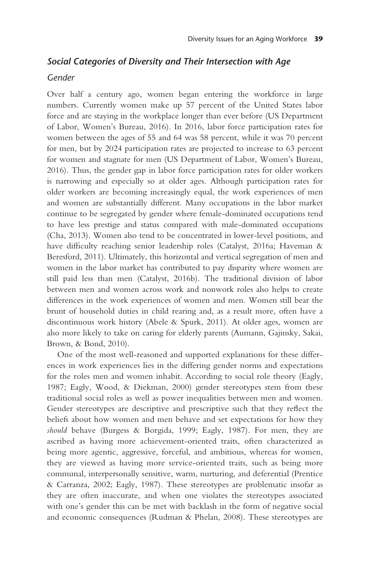#### *Social Categories of Diversity and Their Intersection with Age*

#### *Gender*

Over half a century ago, women began entering the workforce in large numbers. Currently women make up 57 percent of the United States labor force and are staying in the workplace longer than ever before (US Department of Labor, Women's Bureau, 2016). In 2016, labor force participation rates for women between the ages of 55 and 64 was 58 percent, while it was 70 percent for men, but by 2024 participation rates are projected to increase to 63 percent for women and stagnate for men (US Department of Labor, Women's Bureau, 2016). Thus, the gender gap in labor force participation rates for older workers is narrowing and especially so at older ages. Although participation rates for older workers are becoming increasingly equal, the work experiences of men and women are substantially different. Many occupations in the labor market continue to be segregated by gender where female-dominated occupations tend to have less prestige and status compared with male-dominated occupations (Cha, 2013). Women also tend to be concentrated in lower-level positions, and have difficulty reaching senior leadership roles (Catalyst, 2016a; Haveman & Beresford, 2011). Ultimately, this horizontal and vertical segregation of men and women in the labor market has contributed to pay disparity where women are still paid less than men (Catalyst, 2016b). The traditional division of labor between men and women across work and nonwork roles also helps to create differences in the work experiences of women and men. Women still bear the brunt of household duties in child rearing and, as a result more, often have a discontinuous work history (Abele & Spurk, 2011). At older ages, women are also more likely to take on caring for elderly parents (Aumann, Gajinsky, Sakai, Brown, & Bond, 2010).

 for the roles men and women inhabit. According to social role theory (Eagly, 1987; Eagly, Wood, & Diekman, 2000) gender stereotypes stem from these *should* behave (Burgess & Borgida, 1999; Eagly, 1987). For men, they are ascribed as having more achievement-oriented traits, often characterized as being more agentic, aggressive, forceful, and ambitious, whereas for women, & Carranza, 2002; Eagly, 1987). These stereotypes are problematic insofar as they are often inaccurate, and when one violates the stereotypes associated with one's gender this can be met with backlash in the form of negative social One of the most well-reasoned and supported explanations for these differences in work experiences lies in the differing gender norms and expectations traditional social roles as well as power inequalities between men and women. Gender stereotypes are descriptive and prescriptive such that they refect the beliefs about how women and men behave and set expectations for how they they are viewed as having more service-oriented traits, such as being more communal, interpersonally sensitive, warm, nurturing, and deferential (Prentice and economic consequences (Rudman & Phelan, 2008). These stereotypes are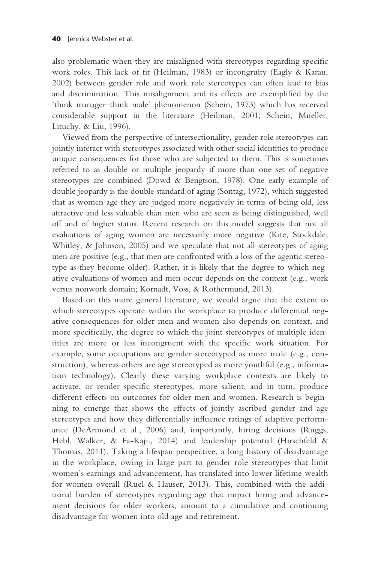also problematic when they are misaligned with stereotypes regarding specifc and discrimination. This misalignment and its effects are exemplifed by the 'think manager–think male' phenomenon (Schein, 1973) which has received considerable support in the literature (Heilman, 2001; Schein, Mueller, work roles. This lack of ft (Heilman, 1983) or incongruity (Eagly & Karau, 2002) between gender role and work role stereotypes can often lead to bias Lituchy, & Liu, 1996).

Viewed from the perspective of intersectionality, gender role stereotypes can jointly interact with stereotypes associated with other social identities to produce unique consequences for those who are subjected to them. This is sometimes referred to as double or multiple jeopardy if more than one set of negative stereotypes are combined (Dowd & Bengtson, 1978). One early example of double jeopardy is the double standard of aging (Sontag, 1972), which suggested that as women age they are judged more negatively in terms of being old, less attractive and less valuable than men who are seen as being distinguished, well off and of higher status. Recent research on this model suggests that not all evaluations of aging women are necessarily more negative (Kite, Stockdale, Whitley, & Johnson, 2005) and we speculate that not all stereotypes of aging men are positive (e.g., that men are confronted with a loss of the agentic stereotype as they become older). Rather, it is likely that the degree to which negative evaluations of women and men occur depends on the context (e.g., work versus nonwork domain; Kornadt, Voss, & Rothermund, 2013).

 ative consequences for older men and women also depends on context, and activate, or render specifc stereotypes, more salient, and in turn, produce ance (DeArmond et al., 2006) and, importantly, hiring decisions (Ruggs, Thomas, 2011). Taking a lifespan perspective, a long history of disadvantage in the workplace, owing in large part to gender role stereotypes that limit women's earnings and advancement, has translated into lower lifetime wealth ment decisions for older workers, amount to a cumulative and continuing Based on this more general literature, we would argue that the extent to which stereotypes operate within the workplace to produce differential negmore specifcally, the degree to which the joint stereotypes of multiple identities are more or less incongruent with the specifc work situation. For example, some occupations are gender stereotyped as more male (e.g., construction), whereas others are age stereotyped as more youthful (e.g., information technology). Clearly these varying workplace contexts are likely to different effects on outcomes for older men and women. Research is beginning to emerge that shows the effects of jointly ascribed gender and age stereotypes and how they differentially infuence ratings of adaptive perform-Hebl, Walker, & Fa-Kaji., 2014) and leadership potential (Hirschfeld & for women overall (Ruel & Hauser, 2013). This, combined with the additional burden of stereotypes regarding age that impact hiring and advancedisadvantage for women into old age and retirement.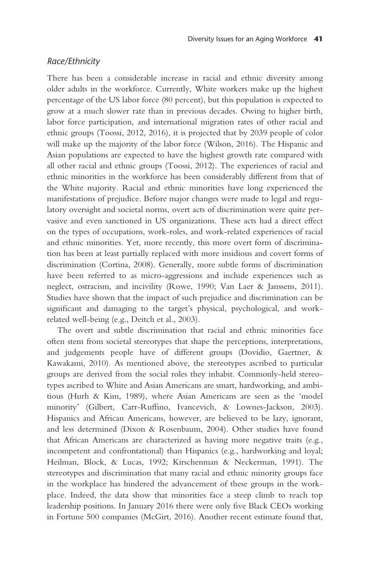#### *Race/Ethnicity*

There has been a considerable increase in racial and ethnic diversity among older adults in the workforce. Currently, White workers make up the highest percentage of the US labor force (80 percent), but this population is expected to grow at a much slower rate than in previous decades. Owing to higher birth, labor force participation, and international migration rates of other racial and ethnic groups (Toossi, 2012, 2016), it is projected that by 2039 people of color will make up the majority of the labor force (Wilson, 2016). The Hispanic and Asian populations are expected to have the highest growth rate compared with all other racial and ethnic groups (Toossi, 2012). The experiences of racial and ethnic minorities in the workforce has been considerably different from that of the White majority. Racial and ethnic minorities have long experienced the manifestations of prejudice. Before major changes were made to legal and regulatory oversight and societal norms, overt acts of discrimination were quite pervasive and even sanctioned in US organizations. These acts had a direct effect on the types of occupations, work-roles, and work-related experiences of racial and ethnic minorities. Yet, more recently, this more overt form of discrimination has been at least partially replaced with more insidious and covert forms of discrimination (Cortina, 2008). Generally, more subtle forms of discrimination have been referred to as micro-aggressions and include experiences such as neglect, ostracism, and incivility (Rowe, 1990; Van Laer & Janssens, 2011). Studies have shown that the impact of such prejudice and discrimination can be signifcant and damaging to the target's physical, psychological, and workrelated well-being (e.g., Deitch et al., 2003).

The overt and subtle discrimination that racial and ethnic minorities face often stem from societal stereotypes that shape the perceptions, interpretations, and judgements people have of different groups (Dovidio, Gaertner, & Kawakami, 2010). As mentioned above, the stereotypes ascribed to particular groups are derived from the social roles they inhabit. Commonly-held stereotypes ascribed to White and Asian Americans are smart, hardworking, and ambitious (Hurh & Kim, 1989), where Asian Americans are seen as the 'model minority' (Gilbert, Carr-Ruffno, Ivancevich, & Lownes-Jackson, 2003). Hispanics and African Americans, however, are believed to be lazy, ignorant, and less determined (Dixon & Rosenbaum, 2004). Other studies have found that African Americans are characterized as having more negative traits (e.g., incompetent and confrontational) than Hispanics (e.g., hardworking and loyal; Heilman, Block, & Lucas, 1992; Kirschenman & Neckerman, 1991). The stereotypes and discrimination that many racial and ethnic minority groups face in the workplace has hindered the advancement of these groups in the workplace. Indeed, the data show that minorities face a steep climb to reach top leadership positions. In January 2016 there were only fve Black CEOs working in Fortune 500 companies (McGirt, 2016). Another recent estimate found that,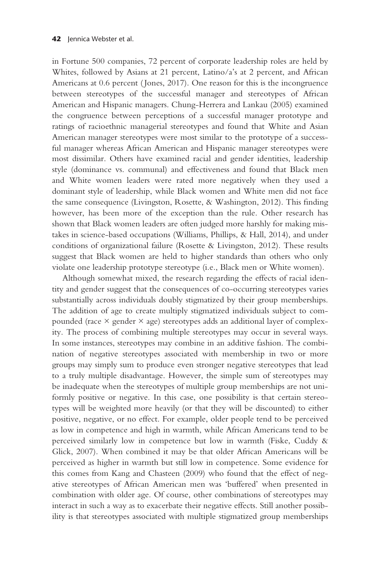Americans at 0.6 percent (Jones, 2017). One reason for this is the incongruence in Fortune 500 companies, 72 percent of corporate leadership roles are held by Whites, followed by Asians at 21 percent, Latino/a's at 2 percent, and African between stereotypes of the successful manager and stereotypes of African American and Hispanic managers. Chung-Herrera and Lankau (2005) examined the congruence between perceptions of a successful manager prototype and ratings of racioethnic managerial stereotypes and found that White and Asian American manager stereotypes were most similar to the prototype of a successful manager whereas African American and Hispanic manager stereotypes were most dissimilar. Others have examined racial and gender identities, leadership style (dominance vs. communal) and effectiveness and found that Black men and White women leaders were rated more negatively when they used a dominant style of leadership, while Black women and White men did not face the same consequence (Livingston, Rosette, & Washington, 2012). This fnding however, has been more of the exception than the rule. Other research has shown that Black women leaders are often judged more harshly for making mistakes in science-based occupations (Williams, Phillips, & Hall, 2014), and under conditions of organizational failure (Rosette & Livingston, 2012). These results suggest that Black women are held to higher standards than others who only violate one leadership prototype stereotype (i.e., Black men or White women).

Although somewhat mixed, the research regarding the effects of racial identity and gender suggest that the consequences of co-occurring stereotypes varies substantially across individuals doubly stigmatized by their group memberships. The addition of age to create multiply stigmatized individuals subject to compounded (race  $\times$  gender  $\times$  age) stereotypes adds an additional layer of complexity. The process of combining multiple stereotypes may occur in several ways. In some instances, stereotypes may combine in an additive fashion. The combination of negative stereotypes associated with membership in two or more groups may simply sum to produce even stronger negative stereotypes that lead to a truly multiple disadvantage. However, the simple sum of stereotypes may be inadequate when the stereotypes of multiple group memberships are not uniformly positive or negative. In this case, one possibility is that certain stereotypes will be weighted more heavily (or that they will be discounted) to either positive, negative, or no effect. For example, older people tend to be perceived as low in competence and high in warmth, while African Americans tend to be perceived similarly low in competence but low in warmth (Fiske, Cuddy & Glick, 2007). When combined it may be that older African Americans will be perceived as higher in warmth but still low in competence. Some evidence for this comes from Kang and Chasteen (2009) who found that the effect of negative stereotypes of African American men was 'buffered' when presented in combination with older age. Of course, other combinations of stereotypes may interact in such a way as to exacerbate their negative effects. Still another possibility is that stereotypes associated with multiple stigmatized group memberships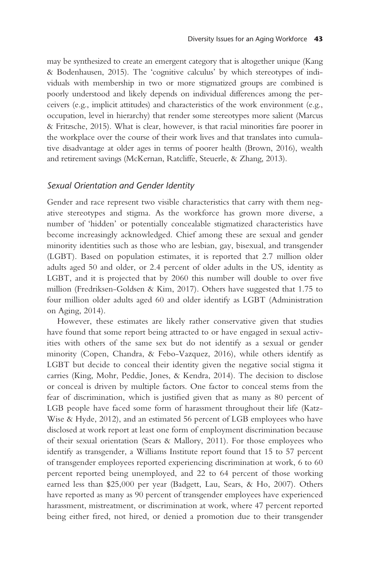may be synthesized to create an emergent category that is altogether unique (Kang viduals with membership in two or more stigmatized groups are combined is occupation, level in hierarchy) that render some stereotypes more salient (Marcus & Fritzsche, 2015). What is clear, however, is that racial minorities fare poorer in & Bodenhausen, 2015). The 'cognitive calculus' by which stereotypes of indipoorly understood and likely depends on individual differences among the perceivers (e.g., implicit attitudes) and characteristics of the work environment (e.g., the workplace over the course of their work lives and that translates into cumulative disadvantage at older ages in terms of poorer health (Brown, 2016), wealth and retirement savings (McKernan, Ratcliffe, Steuerle, & Zhang, 2013).

#### *Sexual Orientation and Gender Identity*

Gender and race represent two visible characteristics that carry with them negative stereotypes and stigma. As the workforce has grown more diverse, a number of 'hidden' or potentially concealable stigmatized characteristics have become increasingly acknowledged. Chief among these are sexual and gender minority identities such as those who are lesbian, gay, bisexual, and transgender (LGBT). Based on population estimates, it is reported that 2.7 million older adults aged 50 and older, or 2.4 percent of older adults in the US, identity as LGBT, and it is projected that by 2060 this number will double to over fve million (Fredriksen-Goldsen & Kim, 2017). Others have suggested that 1.75 to four million older adults aged 60 and older identify as LGBT (Administration on Aging, 2014).

However, these estimates are likely rather conservative given that studies have found that some report being attracted to or have engaged in sexual activities with others of the same sex but do not identify as a sexual or gender minority (Copen, Chandra, & Febo-Vazquez, 2016), while others identify as LGBT but decide to conceal their identity given the negative social stigma it carries (King, Mohr, Peddie, Jones, & Kendra, 2014). The decision to disclose or conceal is driven by multiple factors. One factor to conceal stems from the fear of discrimination, which is justifed given that as many as 80 percent of LGB people have faced some form of harassment throughout their life (Katz-Wise & Hyde, 2012), and an estimated 56 percent of LGB employees who have disclosed at work report at least one form of employment discrimination because of their sexual orientation (Sears & Mallory, 2011). For those employees who identify as transgender, a Williams Institute report found that 15 to 57 percent of transgender employees reported experiencing discrimination at work, 6 to 60 percent reported being unemployed, and 22 to 64 percent of those working earned less than \$25,000 per year (Badgett, Lau, Sears, & Ho, 2007). Others have reported as many as 90 percent of transgender employees have experienced harassment, mistreatment, or discrimination at work, where 47 percent reported being either fred, not hired, or denied a promotion due to their transgender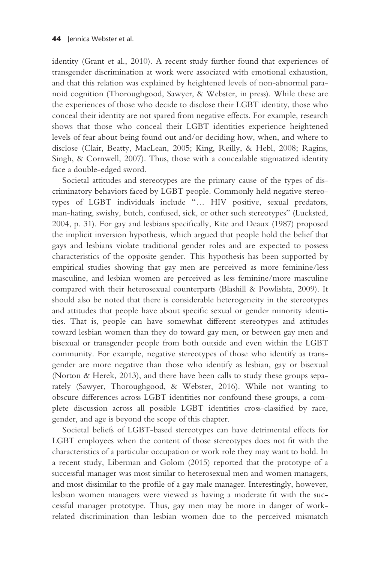identity (Grant et al., 2010). A recent study further found that experiences of transgender discrimination at work were associated with emotional exhaustion, and that this relation was explained by heightened levels of non-abnormal paranoid cognition (Thoroughgood, Sawyer, & Webster, in press). While these are the experiences of those who decide to disclose their LGBT identity, those who conceal their identity are not spared from negative effects. For example, research shows that those who conceal their LGBT identities experience heightened levels of fear about being found out and/or deciding how, when, and where to disclose (Clair, Beatty, MacLean, 2005; King, Reilly, & Hebl, 2008; Ragins, Singh, & Cornwell, 2007). Thus, those with a concealable stigmatized identity face a double-edged sword.

Societal attitudes and stereotypes are the primary cause of the types of discriminatory behaviors faced by LGBT people. Commonly held negative stereotypes of LGBT individuals include "… HIV positive, sexual predators, man-hating, swishy, butch, confused, sick, or other such stereotypes" (Lucksted, 2004, p. 31). For gay and lesbians specifcally, Kite and Deaux (1987) proposed the implicit inversion hypothesis, which argued that people hold the belief that gays and lesbians violate traditional gender roles and are expected to possess characteristics of the opposite gender. This hypothesis has been supported by empirical studies showing that gay men are perceived as more feminine/less masculine, and lesbian women are perceived as less feminine/more masculine compared with their heterosexual counterparts (Blashill & Powlishta, 2009). It should also be noted that there is considerable heterogeneity in the stereotypes and attitudes that people have about specifc sexual or gender minority identities. That is, people can have somewhat different stereotypes and attitudes toward lesbian women than they do toward gay men, or between gay men and bisexual or transgender people from both outside and even within the LGBT community. For example, negative stereotypes of those who identify as transgender are more negative than those who identify as lesbian, gay or bisexual (Norton & Herek, 2013), and there have been calls to study these groups separately (Sawyer, Thoroughgood, & Webster, 2016). While not wanting to obscure differences across LGBT identities nor confound these groups, a complete discussion across all possible LGBT identities cross-classifed by race, gender, and age is beyond the scope of this chapter.

Societal beliefs of LGBT-based stereotypes can have detrimental effects for LGBT employees when the content of those stereotypes does not ft with the characteristics of a particular occupation or work role they may want to hold. In a recent study, Liberman and Golom (2015) reported that the prototype of a successful manager was most similar to heterosexual men and women managers, and most dissimilar to the profle of a gay male manager. Interestingly, however, lesbian women managers were viewed as having a moderate ft with the successful manager prototype. Thus, gay men may be more in danger of workrelated discrimination than lesbian women due to the perceived mismatch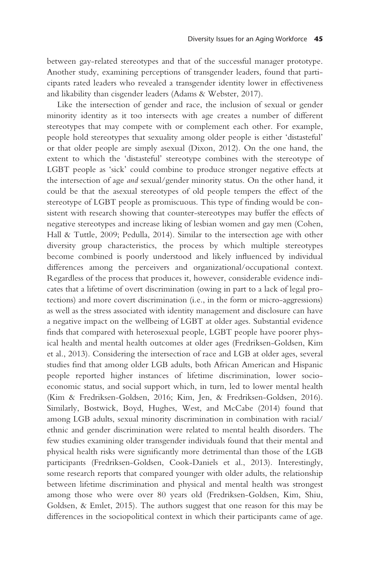between gay-related stereotypes and that of the successful manager prototype. Another study, examining perceptions of transgender leaders, found that participants rated leaders who revealed a transgender identity lower in effectiveness and likability than cisgender leaders (Adams & Webster, 2017).

Like the intersection of gender and race, the inclusion of sexual or gender minority identity as it too intersects with age creates a number of different stereotypes that may compete with or complement each other. For example, people hold stereotypes that sexuality among older people is either 'distasteful' or that older people are simply asexual (Dixon, 2012). On the one hand, the extent to which the 'distasteful' stereotype combines with the stereotype of LGBT people as 'sick' could combine to produce stronger negative effects at the intersection of age *and* sexual/gender minority status. On the other hand, it could be that the asexual stereotypes of old people tempers the effect of the stereotype of LGBT people as promiscuous. This type of fnding would be consistent with research showing that counter-stereotypes may buffer the effects of negative stereotypes and increase liking of lesbian women and gay men (Cohen, Hall & Tuttle, 2009; Pedulla, 2014). Similar to the intersection age with other diversity group characteristics, the process by which multiple stereotypes become combined is poorly understood and likely infuenced by individual differences among the perceivers and organizational/occupational context. Regardless of the process that produces it, however, considerable evidence indicates that a lifetime of overt discrimination (owing in part to a lack of legal protections) and more covert discrimination (i.e., in the form or micro-aggressions) as well as the stress associated with identity management and disclosure can have a negative impact on the wellbeing of LGBT at older ages. Substantial evidence fnds that compared with heterosexual people, LGBT people have poorer physical health and mental health outcomes at older ages (Fredriksen-Goldsen, Kim et al., 2013). Considering the intersection of race and LGB at older ages, several studies fnd that among older LGB adults, both African American and Hispanic people reported higher instances of lifetime discrimination, lower socioeconomic status, and social support which, in turn, led to lower mental health (Kim & Fredriksen-Goldsen, 2016; Kim, Jen, & Fredriksen-Goldsen, 2016). Similarly, Bostwick, Boyd, Hughes, West, and McCabe (2014) found that among LGB adults, sexual minority discrimination in combination with racial/ ethnic and gender discrimination were related to mental health disorders. The few studies examining older transgender individuals found that their mental and physical health risks were signifcantly more detrimental than those of the LGB participants (Fredriksen-Goldsen, Cook-Daniels et al., 2013). Interestingly, some research reports that compared younger with older adults, the relationship between lifetime discrimination and physical and mental health was strongest among those who were over 80 years old (Fredriksen-Goldsen, Kim, Shiu, Goldsen, & Emlet, 2015). The authors suggest that one reason for this may be differences in the sociopolitical context in which their participants came of age.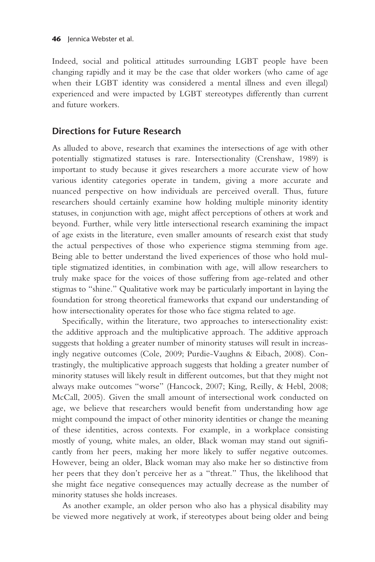Indeed, social and political attitudes surrounding LGBT people have been changing rapidly and it may be the case that older workers (who came of age when their LGBT identity was considered a mental illness and even illegal) experienced and were impacted by LGBT stereotypes differently than current and future workers.

#### **Directions for Future Research**

As alluded to above, research that examines the intersections of age with other potentially stigmatized statuses is rare. Intersectionality (Crenshaw, 1989) is important to study because it gives researchers a more accurate view of how various identity categories operate in tandem, giving a more accurate and nuanced perspective on how individuals are perceived overall. Thus, future researchers should certainly examine how holding multiple minority identity statuses, in conjunction with age, might affect perceptions of others at work and beyond. Further, while very little intersectional research examining the impact of age exists in the literature, even smaller amounts of research exist that study the actual perspectives of those who experience stigma stemming from age. Being able to better understand the lived experiences of those who hold multiple stigmatized identities, in combination with age, will allow researchers to truly make space for the voices of those suffering from age-related and other stigmas to "shine." Qualitative work may be particularly important in laying the foundation for strong theoretical frameworks that expand our understanding of how intersectionality operates for those who face stigma related to age.

Specifcally, within the literature, two approaches to intersectionality exist: the additive approach and the multiplicative approach. The additive approach suggests that holding a greater number of minority statuses will result in increasingly negative outcomes (Cole, 2009; Purdie-Vaughns & Eibach, 2008). Contrastingly, the multiplicative approach suggests that holding a greater number of minority statuses will likely result in different outcomes, but that they might not always make outcomes "worse" (Hancock, 2007; King, Reilly, & Hebl, 2008; McCall, 2005). Given the small amount of intersectional work conducted on age, we believe that researchers would beneft from understanding how age might compound the impact of other minority identities or change the meaning of these identities, across contexts. For example, in a workplace consisting mostly of young, white males, an older, Black woman may stand out signifcantly from her peers, making her more likely to suffer negative outcomes. However, being an older, Black woman may also make her so distinctive from her peers that they don't perceive her as a "threat." Thus, the likelihood that she might face negative consequences may actually decrease as the number of minority statuses she holds increases.

As another example, an older person who also has a physical disability may be viewed more negatively at work, if stereotypes about being older and being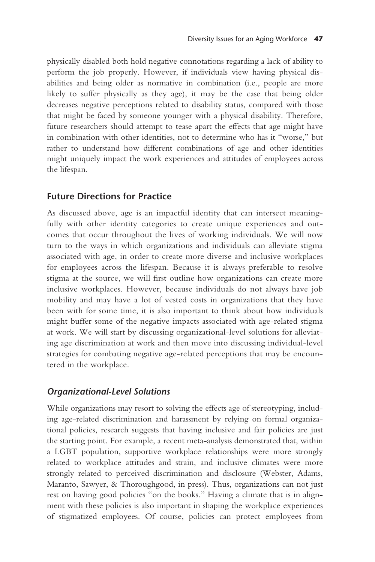physically disabled both hold negative connotations regarding a lack of ability to perform the job properly. However, if individuals view having physical disabilities and being older as normative in combination (i.e., people are more likely to suffer physically as they age), it may be the case that being older decreases negative perceptions related to disability status, compared with those that might be faced by someone younger with a physical disability. Therefore, future researchers should attempt to tease apart the effects that age might have in combination with other identities, not to determine who has it "worse," but rather to understand how different combinations of age and other identities might uniquely impact the work experiences and attitudes of employees across the lifespan.

#### **Future Directions for Practice**

 comes that occur throughout the lives of working individuals. We will now turn to the ways in which organizations and individuals can alleviate stigma associated with age, in order to create more diverse and inclusive workplaces for employees across the lifespan. Because it is always preferable to resolve stigma at the source, we will frst outline how organizations can create more inclusive workplaces. However, because individuals do not always have job mobility and may have a lot of vested costs in organizations that they have been with for some time, it is also important to think about how individuals might buffer some of the negative impacts associated with age-related stigma ing age discrimination at work and then move into discussing individual-level As discussed above, age is an impactful identity that can intersect meaningfully with other identity categories to create unique experiences and outat work. We will start by discussing organizational-level solutions for alleviatstrategies for combating negative age-related perceptions that may be encountered in the workplace.

#### *Organizational-Level Solutions*

While organizations may resort to solving the effects age of stereotyping, including age-related discrimination and harassment by relying on formal organizational policies, research suggests that having inclusive and fair policies are just the starting point. For example, a recent meta-analysis demonstrated that, within a LGBT population, supportive workplace relationships were more strongly related to workplace attitudes and strain, and inclusive climates were more strongly related to perceived discrimination and disclosure (Webster, Adams, Maranto, Sawyer, & Thoroughgood, in press). Thus, organizations can not just rest on having good policies "on the books." Having a climate that is in alignment with these policies is also important in shaping the workplace experiences of stigmatized employees. Of course, policies can protect employees from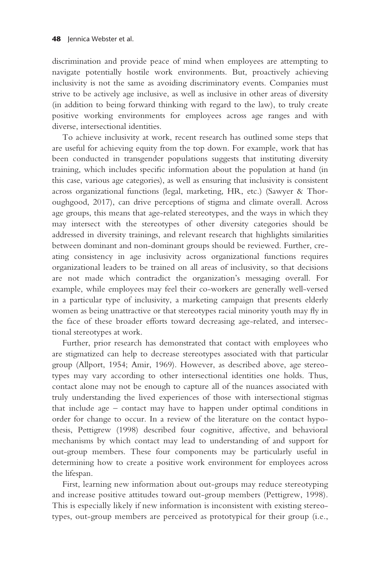discrimination and provide peace of mind when employees are attempting to navigate potentially hostile work environments. But, proactively achieving inclusivity is not the same as avoiding discriminatory events. Companies must strive to be actively age inclusive, as well as inclusive in other areas of diversity (in addition to being forward thinking with regard to the law), to truly create positive working environments for employees across age ranges and with diverse, intersectional identities.

To achieve inclusivity at work, recent research has outlined some steps that are useful for achieving equity from the top down. For example, work that has been conducted in transgender populations suggests that instituting diversity training, which includes specifc information about the population at hand (in this case, various age categories), as well as ensuring that inclusivity is consistent across organizational functions (legal, marketing, HR, etc.) (Sawyer & Thoroughgood, 2017), can drive perceptions of stigma and climate overall. Across age groups, this means that age-related stereotypes, and the ways in which they may intersect with the stereotypes of other diversity categories should be addressed in diversity trainings, and relevant research that highlights similarities between dominant and non-dominant groups should be reviewed. Further, creating consistency in age inclusivity across organizational functions requires organizational leaders to be trained on all areas of inclusivity, so that decisions are not made which contradict the organization's messaging overall. For example, while employees may feel their co-workers are generally well-versed in a particular type of inclusivity, a marketing campaign that presents elderly women as being unattractive or that stereotypes racial minority youth may fy in the face of these broader efforts toward decreasing age-related, and intersectional stereotypes at work.

Further, prior research has demonstrated that contact with employees who are stigmatized can help to decrease stereotypes associated with that particular group (Allport, 1954; Amir, 1969). However, as described above, age stereotypes may vary according to other intersectional identities one holds. Thus, contact alone may not be enough to capture all of the nuances associated with truly understanding the lived experiences of those with intersectional stigmas that include age – contact may have to happen under optimal conditions in order for change to occur. In a review of the literature on the contact hypothesis, Pettigrew (1998) described four cognitive, affective, and behavioral mechanisms by which contact may lead to understanding of and support for out-group members. These four components may be particularly useful in determining how to create a positive work environment for employees across the lifespan.

 and increase positive attitudes toward out-group members (Pettigrew, 1998). types, out-group members are perceived as prototypical for their group (i.e., First, learning new information about out-groups may reduce stereotyping This is especially likely if new information is inconsistent with existing stereo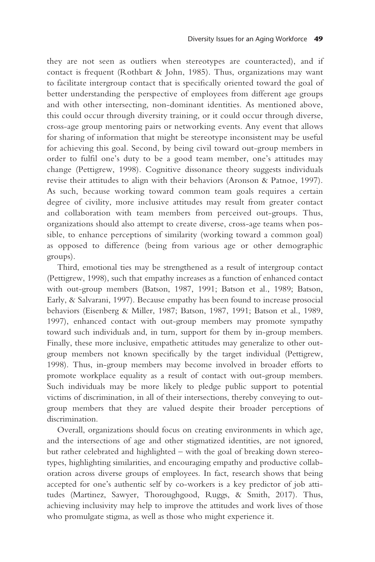contact is frequent (Rothbart & John, 1985). Thus, organizations may want to facilitate intergroup contact that is specifcally oriented toward the goal of better understanding the perspective of employees from different age groups and with other intersecting, non-dominant identities. As mentioned above, cross-age group mentoring pairs or networking events. Any event that allows for sharing of information that might be stereotype inconsistent may be useful for achieving this goal. Second, by being civil toward out-group members in order to fulfl one's duty to be a good team member, one's attitudes may change (Pettigrew, 1998). Cognitive dissonance theory suggests individuals revise their attitudes to align with their behaviors (Aronson & Patnoe, 1997). As such, because working toward common team goals requires a certain degree of civility, more inclusive attitudes may result from greater contact and collaboration with team members from perceived out-groups. Thus, sible, to enhance perceptions of similarity (working toward a common goal) as opposed to difference (being from various age or other demographic they are not seen as outliers when stereotypes are counteracted), and if this could occur through diversity training, or it could occur through diverse, organizations should also attempt to create diverse, cross-age teams when posgroups).

Third, emotional ties may be strengthened as a result of intergroup contact (Pettigrew, 1998), such that empathy increases as a function of enhanced contact with out-group members (Batson, 1987, 1991; Batson et al., 1989; Batson, Early, & Salvarani, 1997). Because empathy has been found to increase prosocial behaviors (Eisenberg & Miller, 1987; Batson, 1987, 1991; Batson et al., 1989, 1997), enhanced contact with out-group members may promote sympathy toward such individuals and, in turn, support for them by in-group members. Finally, these more inclusive, empathetic attitudes may generalize to other outgroup members not known specifcally by the target individual (Pettigrew, 1998). Thus, in-group members may become involved in broader efforts to promote workplace equality as a result of contact with out-group members. Such individuals may be more likely to pledge public support to potential victims of discrimination, in all of their intersections, thereby conveying to outgroup members that they are valued despite their broader perceptions of discrimination.

Overall, organizations should focus on creating environments in which age, and the intersections of age and other stigmatized identities, are not ignored, but rather celebrated and highlighted – with the goal of breaking down stereotypes, highlighting similarities, and encouraging empathy and productive collaboration across diverse groups of employees. In fact, research shows that being accepted for one's authentic self by co-workers is a key predictor of job attitudes (Martinez, Sawyer, Thoroughgood, Ruggs, & Smith, 2017). Thus, achieving inclusivity may help to improve the attitudes and work lives of those who promulgate stigma, as well as those who might experience it.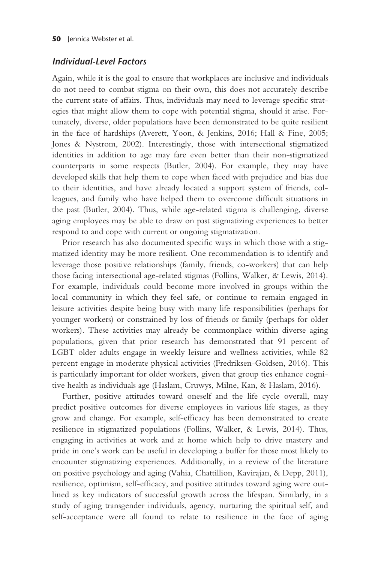#### *Individual-Level Factors*

Again, while it is the goal to ensure that workplaces are inclusive and individuals do not need to combat stigma on their own, this does not accurately describe the current state of affairs. Thus, individuals may need to leverage specifc strategies that might allow them to cope with potential stigma, should it arise. Fortunately, diverse, older populations have been demonstrated to be quite resilient in the face of hardships (Averett, Yoon, & Jenkins, 2016; Hall & Fine, 2005; Jones & Nystrom, 2002). Interestingly, those with intersectional stigmatized identities in addition to age may fare even better than their non-stigmatized counterparts in some respects (Butler, 2004). For example, they may have developed skills that help them to cope when faced with prejudice and bias due to their identities, and have already located a support system of friends, colleagues, and family who have helped them to overcome difficult situations in the past (Butler, 2004). Thus, while age-related stigma is challenging, diverse aging employees may be able to draw on past stigmatizing experiences to better respond to and cope with current or ongoing stigmatization.

Prior research has also documented specifc ways in which those with a stigmatized identity may be more resilient. One recommendation is to identify and leverage those positive relationships (family, friends, co-workers) that can help those facing intersectional age-related stigmas (Follins, Walker, & Lewis, 2014). For example, individuals could become more involved in groups within the local community in which they feel safe, or continue to remain engaged in leisure activities despite being busy with many life responsibilities (perhaps for younger workers) or constrained by loss of friends or family (perhaps for older workers). These activities may already be commonplace within diverse aging populations, given that prior research has demonstrated that 91 percent of LGBT older adults engage in weekly leisure and wellness activities, while 82 percent engage in moderate physical activities (Fredriksen-Goldsen, 2016). This is particularly important for older workers, given that group ties enhance cognitive health as individuals age (Haslam, Cruwys, Milne, Kan, & Haslam, 2016).

Further, positive attitudes toward oneself and the life cycle overall, may predict positive outcomes for diverse employees in various life stages, as they grow and change. For example, self-efficacy has been demonstrated to create resilience in stigmatized populations (Follins, Walker, & Lewis, 2014). Thus, engaging in activities at work and at home which help to drive mastery and pride in one's work can be useful in developing a buffer for those most likely to encounter stigmatizing experiences. Additionally, in a review of the literature on positive psychology and aging (Vahia, Chattillion, Kavirajan, & Depp, 2011), resilience, optimism, self-effcacy, and positive attitudes toward aging were outlined as key indicators of successful growth across the lifespan. Similarly, in a study of aging transgender individuals, agency, nurturing the spiritual self, and self-acceptance were all found to relate to resilience in the face of aging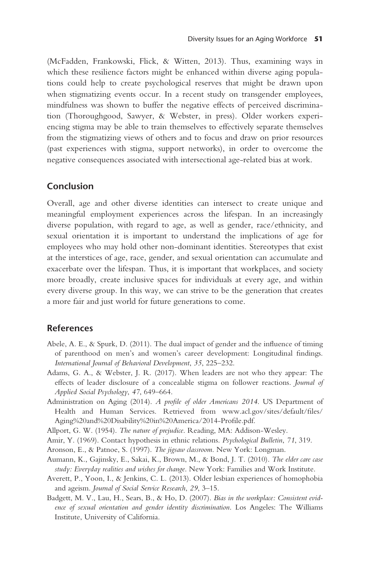(McFadden, Frankowski, Flick, & Witten, 2013). Thus, examining ways in which these resilience factors might be enhanced within diverse aging populations could help to create psychological reserves that might be drawn upon when stigmatizing events occur. In a recent study on transgender employees, mindfulness was shown to buffer the negative effects of perceived discrimination (Thoroughgood, Sawyer, & Webster, in press). Older workers experiencing stigma may be able to train themselves to effectively separate themselves from the stigmatizing views of others and to focus and draw on prior resources (past experiences with stigma, support networks), in order to overcome the negative consequences associated with intersectional age-related bias at work.

#### **Conclusion**

Overall, age and other diverse identities can intersect to create unique and meaningful employment experiences across the lifespan. In an increasingly diverse population, with regard to age, as well as gender, race/ethnicity, and sexual orientation it is important to understand the implications of age for employees who may hold other non-dominant identities. Stereotypes that exist at the interstices of age, race, gender, and sexual orientation can accumulate and exacerbate over the lifespan. Thus, it is important that workplaces, and society more broadly, create inclusive spaces for individuals at every age, and within every diverse group. In this way, we can strive to be the generation that creates a more fair and just world for future generations to come.

#### **References**

- Abele, A. E., & Spurk, D. (2011). The dual impact of gender and the infuence of timing of parenthood on men's and women's career development: Longitudinal fndings. *International Journal of Behavioral Development*, *35*, 225–232.
- Adams, G. A., & Webster, J. R. (2017). When leaders are not who they appear: The effects of leader disclosure of a concealable stigma on follower reactions. *Journal of Applied Social Psychology*, *47*, 649–664.
- Administration on Aging (2014). *A profle of older Americans 2014*. US Department of Health and Human Services. Retrieved from [www.acl.gov/sites/default/fles/](www.acl.gov) [Aging%20and%20Disability%20in%20America/2014-Profle.pdf.](www.acl.gov)
- Allport, G. W. (1954). *The nature of prejudice*. Reading, MA: Addison-Wesley.
- Amir, Y. (1969). Contact hypothesis in ethnic relations. *Psychological Bulletin*, *71*, 319.
- Aronson, E., & Patnoe, S. (1997). *The jigsaw classroom*. New York: Longman.
- Aumann, K., Gajinsky, E., Sakai, K., Brown, M., & Bond, J. T. (2010). *The elder care case study: Everyday realities and wishes for change*. New York: Families and Work Institute.
- Averett, P., Yoon, I., & Jenkins, C. L. (2013). Older lesbian experiences of homophobia and ageism. *Journal of Social Service Research*, *29*, 3–15.
- Badgett, M. V., Lau, H., Sears, B., & Ho, D. (2007). *Bias in the workplace: Consistent evidence of sexual orientation and gender identity discrimination*. Los Angeles: The Williams Institute, University of California.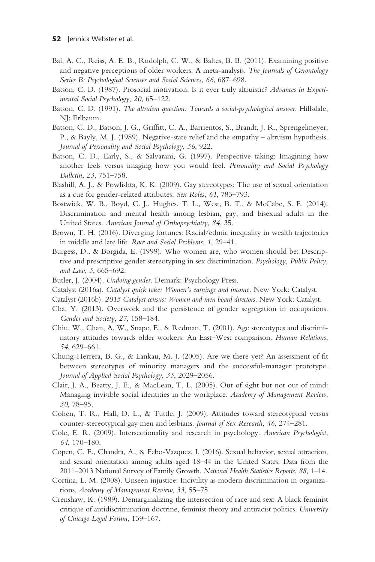- Bal, A. C., Reiss, A. E. B., Rudolph, C. W., & Baltes, B. B. (2011). Examining positive and negative perceptions of older workers: A meta-analysis. *The Journals of Gerontology Series B: Psychological Sciences and Social Sciences*, *66*, 687–698.
- Batson, C. D. (1987). Prosocial motivation: Is it ever truly altruistic? *Advances in Experimental Social Psychology*, *20*, 65–122.
- Batson, C. D. (1991). *The altruism question: Towards a social-psychological answer*. Hillsdale, NJ: Erlbaum.
- Batson, C. D., Batson, J. G., Grifftt, C. A., Barrientos, S., Brandt, J. R., Sprengelmeyer, P., & Bayly, M. J. (1989). Negative-state relief and the empathy – altruism hypothesis. *Journal of Personality and Social Psychology*, *56*, 922.
- Batson, C. D., Early, S., & Salvarani, G. (1997). Perspective taking: Imagining how another feels versus imaging how you would feel. *Personality and Social Psychology Bulletin*, *23*, 751–758.
- Blashill, A. J., & Powlishta, K. K. (2009). Gay stereotypes: The use of sexual orientation as a cue for gender-related attributes. *Sex Roles*, *61*, 783–793.
- Bostwick, W. B., Boyd, C. J., Hughes, T. L., West, B. T., & McCabe, S. E. (2014). Discrimination and mental health among lesbian, gay, and bisexual adults in the United States. *American Journal of Orthopsychiatry*, *84*, 35.
- Brown, T. H. (2016). Diverging fortunes: Racial/ethnic inequality in wealth trajectories in middle and late life. *Race and Social Problems*, *1*, 29–41.
- Burgess, D., & Borgida, E. (1999). Who women are, who women should be: Descriptive and prescriptive gender stereotyping in sex discrimination. *Psychology, Public Policy, and Law*, *5*, 665–692.
- Butler, J. (2004). *Undoing gender.* Demark: Psychology Press.
- Catalyst (2016a). *Catalyst quick take: Women's earnings and income.* New York: Catalyst.
- Catalyst (2016b). *2015 Catalyst census: Women and men board directors*. New York: Catalyst.
- Cha, Y. (2013). Overwork and the persistence of gender segregation in occupations. *Gender and Society*, *27*, 158–184.
- Chiu, W., Chan, A. W., Snape, E., & Redman, T. (2001). Age stereotypes and discriminatory attitudes towards older workers: An East–West comparison. *Human Relations*, *54*, 629–661.
- Chung-Herrera, B. G., & Lankau, M. J. (2005). Are we there yet? An assessment of ft between stereotypes of minority managers and the successful-manager prototype. *Journal of Applied Social Psychology*, *35*, 2029–2056.
- Clair, J. A., Beatty, J. E., & MacLean, T. L. (2005). Out of sight but not out of mind: Managing invisible social identities in the workplace. *Academy of Management Review*, *30*, 78–95.
- Cohen, T. R., Hall, D. L., & Tuttle, J. (2009). Attitudes toward stereotypical versus counter-stereotypical gay men and lesbians. *Journal of Sex Research*, *46*, 274–281.
- Cole, E. R. (2009). Intersectionality and research in psychology. *American Psychologist*, *64*, 170–180.
- and sexual orientation among adults aged 18–44 in the United States: Data from the Copen, C. E., Chandra, A., & Febo-Vazquez, I. (2016). Sexual behavior, sexual attraction, 2011–2013 National Survey of Family Growth. *National Health Statistics Reports*, *88*, 1–14.
- Cortina, L. M. (2008). Unseen injustice: Incivility as modern discrimination in organizations. *Academy of Management Review*, *33*, 55–75.
- Crenshaw, K. (1989). Demarginalizing the intersection of race and sex: A black feminist critique of antidiscrimination doctrine, feminist theory and antiracist politics. *University of Chicago Legal Forum*, 139–167.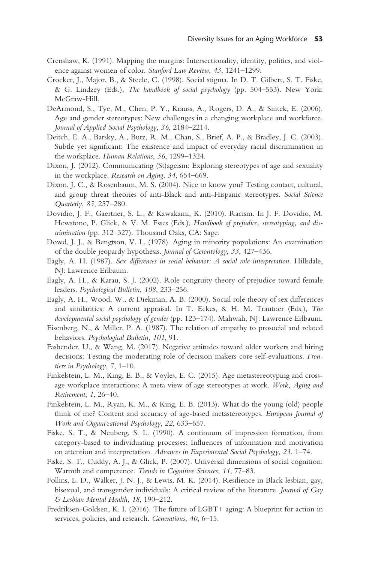- Crenshaw, K. (1991). Mapping the margins: Intersectionality, identity, politics, and violence against women of color. *Stanford Law Review*, *43*, 1241–1299.
- & G. Lindzey (Eds.), *The handbook of social psychology* (pp. 504–553). New York: Crocker, J., Major, B., & Steele, C. (1998). Social stigma. In D. T. Gilbert, S. T. Fiske, McGraw-Hill.
- DeArmond, S., Tye, M., Chen, P. Y., Krauss, A., Rogers, D. A., & Sintek, E. (2006). Age and gender stereotypes: New challenges in a changing workplace and workforce. *Journal of Applied Social Psychology*, *36*, 2184–2214.
- Deitch, E. A., Barsky, A., Butz, R. M., Chan, S., Brief, A. P., & Bradley, J. C. (2003). Subtle yet signifcant: The existence and impact of everyday racial discrimination in the workplace. *Human Relations*, *56*, 1299–1324.
- Dixon, J. (2012). Communicating (St)ageism: Exploring stereotypes of age and sexuality in the workplace. *Research on Aging*, *34*, 654–669.
- Dixon, J. C., & Rosenbaum, M. S. (2004). Nice to know you? Testing contact, cultural, and group threat theories of anti-Black and anti-Hispanic stereotypes. *Social Science Quarterly*, *85*, 257–280.
- Dovidio, J. F., Gaertner, S. L., & Kawakami, K. (2010). Racism. In J. F. Dovidio, M. Hewstone, P. Glick, & V. M. Esses (Eds.), *Handbook of prejudice, stereotyping, and discrimination* (pp. 312–327). Thousand Oaks, CA: Sage.
- Dowd, J. J., & Bengtson, V. L. (1978). Aging in minority populations: An examination of the double jeopardy hypothesis. *Journal of Gerontology*, *33*, 427–436.
- Eagly, A. H. (1987). *Sex differences in social behavior: A social role interpretation*. Hillsdale, NJ: Lawrence Erlbaum.
- Eagly, A. H., & Karau, S. J. (2002). Role congruity theory of prejudice toward female leaders. *Psychological Bulletin*, *108*, 233–256.
- *developmental social psychology of gender* (pp. 123–174). Mahwah, NJ: Lawrence Erlbaum. Eagly, A. H., Wood, W., & Diekman, A. B. (2000). Social role theory of sex differences and similarities: A current appraisal. In T. Eckes, & H. M. Trautner (Eds.), *The*
- Eisenberg, N., & Miller, P. A. (1987). The relation of empathy to prosocial and related behaviors. *Psychological Bulletin*, *101*, 91.
- Fasbender, U., & Wang, M. (2017). Negative attitudes toward older workers and hiring decisions: Testing the moderating role of decision makers core self-evaluations. *Frontiers in Psychology*, *7*, 1–10.
- Finkelstein, L. M., King, E. B., & Voyles, E. C. (2015). Age metastereotyping and crossage workplace interactions: A meta view of age stereotypes at work. *Work, Aging and Retirement*, *1*, 26–40.
- Finkelstein, L. M., Ryan, K. M., & King, E. B. (2013). What do the young (old) people think of me? Content and accuracy of age-based metastereotypes. *European Journal of Work and Organizational Psychology*, *22*, 633–657.
- Fiske, S. T., & Neuberg, S. L. (1990). A continuum of impression formation, from category-based to individuating processes: Infuences of information and motivation on attention and interpretation. *Advances in Experimental Social Psychology*, *23*, 1–74.
- Fiske, S. T., Cuddy, A. J., & Glick, P. (2007). Universal dimensions of social cognition: Warmth and competence. *Trends in Cognitive Sciences*, *11*, 77–83.
- Follins, L. D., Walker, J. N. J., & Lewis, M. K. (2014). Resilience in Black lesbian, gay, bisexual, and transgender individuals: A critical review of the literature. *Journal of Gay & Lesbian Mental Health*, *18*, 190–212.
- Fredriksen-Goldsen, K. I. (2016). The future of LGBT+ aging: A blueprint for action in services, policies, and research. *Generations*, *40*, 6–15.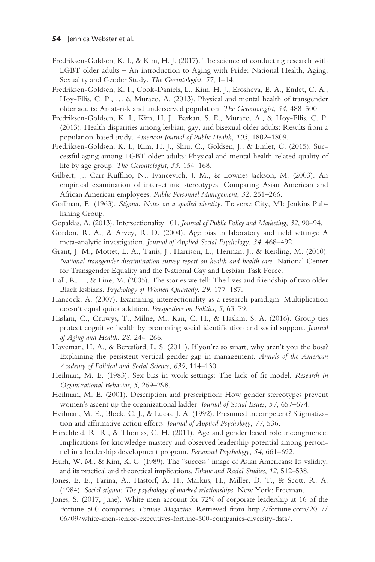- Fredriksen-Goldsen, K. I., & Kim, H. J. (2017). The science of conducting research with LGBT older adults – An introduction to Aging with Pride: National Health, Aging, Sexuality and Gender Study. *The Gerontologist*, *57*, 1–14.
- Hoy-Ellis, C. P., … & Muraco, A. (2013). Physical and mental health of transgender Fredriksen-Goldsen, K. I., Cook-Daniels, L., Kim, H. J., Erosheva, E. A., Emlet, C. A., older adults: An at-risk and underserved population. *The Gerontologist*, *54*, 488–500.
- Fredriksen-Goldsen, K. I., Kim, H. J., Barkan, S. E., Muraco, A., & Hoy-Ellis, C. P. (2013). Health disparities among lesbian, gay, and bisexual older adults: Results from a population-based study. *American Journal of Public Health*, *103*, 1802–1809.
- Fredriksen-Goldsen, K. I., Kim, H. J., Shiu, C., Goldsen, J., & Emlet, C. (2015). Successful aging among LGBT older adults: Physical and mental health-related quality of life by age group. *The Gerontologist*, *55*, 154–168.
- Gilbert, J., Carr-Ruffno, N., Ivancevich, J. M., & Lownes-Jackson, M. (2003). An empirical examination of inter-ethnic stereotypes: Comparing Asian American and African American employees. *Public Personnel Management*, *32*, 251–266.
- Goffman, E. (1963). *Stigma: Notes on a spoiled identity*. Traverse City, MI: Jenkins Publishing Group*.*
- Gopaldas, A. (2013). Intersectionality 101. *Journal of Public Policy and Marketing*, *32*, 90–94.
- Gordon, R. A., & Arvey, R. D. (2004). Age bias in laboratory and feld settings: A meta-analytic investigation. *Journal of Applied Social Psychology*, *34*, 468–492.
- Grant, J. M., Mottet, L. A., Tanis, J., Harrison, L., Herman, J., & Keisling, M. (2010). *National transgender discrimination survey report on health and health care.* National Center for Transgender Equality and the National Gay and Lesbian Task Force.
- Hall, R. L., & Fine, M. (2005). The stories we tell: The lives and friendship of two older Black lesbians*. Psychology of Women Quarterly*, *29*, 177–187.
- Hancock, A. (2007). Examining intersectionality as a research paradigm: Multiplication doesn't equal quick addition, *Perspectives on Politics*, *5*, 63–79.
- Haslam, C., Cruwys, T., Milne, M., Kan, C. H., & Haslam, S. A. (2016). Group ties protect cognitive health by promoting social identifcation and social support. *Journal of Aging and Health*, *28*, 244–266.
- Haveman, H. A., & Beresford, L. S. (2011). If you're so smart, why aren't you the boss? Explaining the persistent vertical gender gap in management. *Annals of the American Academy of Political and Social Science*, *639*, 114–130.
- Heilman, M. E. (1983). Sex bias in work settings: The lack of ft model. *Research in Organizational Behavior*, *5*, 269–298.
- Heilman, M. E. (2001). Description and prescription: How gender stereotypes prevent women's ascent up the organizational ladder. *Journal of Social Issues*, *57*, 657–674.
- Heilman, M. E., Block, C. J., & Lucas, J. A. (1992). Presumed incompetent? Stigmatization and affrmative action efforts. *Journal of Applied Psychology*, *77*, 536.
- Hirschfeld, R. R., & Thomas, C. H. (2011). Age and gender based role incongruence: Implications for knowledge mastery and observed leadership potential among personnel in a leadership development program. *Personnel Psychology*, *54*, 661–692.
- Hurh, W. M., & Kim, K. C. (1989). The "success" image of Asian Americans: Its validity, and its practical and theoretical implications. *Ethnic and Racial Studies*, *12*, 512–538.
- Jones, E. E., Farina, A., Hastorf, A. H., Markus, H., Miller, D. T., & Scott, R. A. (1984). *Social stigma: The psychology of marked relationships.* New York: Freeman.
- Jones, S. (2017, June). White men account for 72% of corporate leadership at 16 of the [06/09/white-men-senior-executives-fortune-500-companies-diversity-data/](http://fortune.com). Fortune 500 companies. *Fortune Magazine*. Retrieved from [http://fortune.com/2017/](http://fortune.com)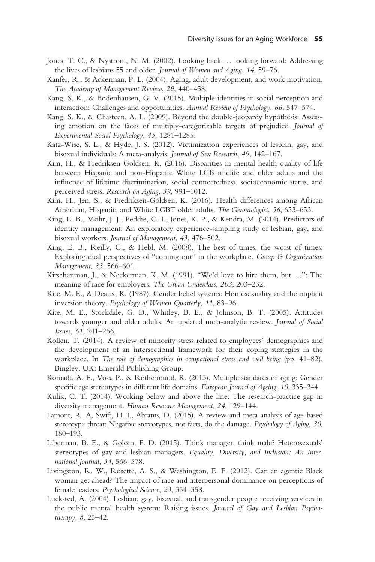- Jones, T. C., & Nystrom, N. M. (2002). Looking back … looking forward: Addressing the lives of lesbians 55 and older. *Journal of Women and Aging*, *14*, 59–76.
- Kanfer, R., & Ackerman, P. L. (2004). Aging, adult development, and work motivation. *The Academy of Management Review*, *29*, 440–458.
- Kang, S. K., & Bodenhausen, G. V. (2015). Multiple identities in social perception and interaction: Challenges and opportunities. *Annual Review of Psychology*, *66*, 547–574.
- Kang, S. K., & Chasteen, A. L. (2009). Beyond the double-jeopardy hypothesis: Assessing emotion on the faces of multiply-categorizable targets of prejudice. *Journal of Experimental Social Psychology*, *45*, 1281–1285.
- Katz-Wise, S. L., & Hyde, J. S. (2012). Victimization experiences of lesbian, gay, and bisexual individuals: A meta-analysis. *Journal of Sex Research*, *49*, 142–167.
- Kim, H., & Fredriksen-Goldsen, K. (2016). Disparities in mental health quality of life between Hispanic and non-Hispanic White LGB midlife and older adults and the infuence of lifetime discrimination, social connectedness, socioeconomic status, and perceived stress. *Research on Aging*, *39*, 991–1012.
- Kim, H., Jen, S., & Fredriksen-Goldsen, K. (2016). Health differences among African American, Hispanic, and White LGBT older adults. *The Gerontologist*, *56*, 653–653.
- King, E. B., Mohr, J. J., Peddie, C. I., Jones, K. P., & Kendra, M. (2014). Predictors of identity management: An exploratory experience-sampling study of lesbian, gay, and bisexual workers. *Journal of Management*, *43*, 476–502.
- King, E. B., Reilly, C., & Hebl, M. (2008). The best of times, the worst of times: Exploring dual perspectives of "coming out" in the workplace. *Group & Organization Management*, *33*, 566–601.
- Kirschenman, J., & Neckerman, K. M. (1991). "We'd love to hire them, but …": The meaning of race for employers. *The Urban Underclass*, *203*, 203–232.
- Kite, M. E., & Deaux, K. (1987). Gender belief systems: Homosexuality and the implicit inversion theory. *Psychology of Women Quarterly*, *11*, 83–96.
- Kite, M. E., Stockdale, G. D., Whitley, B. E., & Johnson, B. T. (2005). Attitudes towards younger and older adults: An updated meta-analytic review. *Journal of Social Issues*, *61*, 241–266.
- workplace. In *The role of demographics in occupational stress and well being* (pp. 41–82). Kollen, T. (2014). A review of minority stress related to employees' demographics and the development of an intersectional framework for their coping strategies in the Bingley, UK: Emerald Publishing Group.
- Kornadt, A. E., Voss, P., & Rothermund, K. (2013). Multiple standards of aging: Gender specifc age stereotypes in different life domains. *European Journal of Ageing*, *10*, 335–344.
- Kulik, C. T. (2014). Working below and above the line: The research-practice gap in diversity management. *Human Resource Management*, *24*, 129–144.
- Lamont, R. A, Swift, H. J., Abrams, D. (2015). A review and meta-analysis of age-based stereotype threat: Negative stereotypes, not facts, do the damage. *Psychology of Aging*, *30*, 180–193.
- Liberman, B. E., & Golom, F. D. (2015). Think manager, think male? Heterosexuals' stereotypes of gay and lesbian managers. *Equality, Diversity, and Inclusion: An International Journal*, *34*, 566–578.
- Livingston, R. W., Rosette, A. S., & Washington, E. F. (2012). Can an agentic Black woman get ahead? The impact of race and interpersonal dominance on perceptions of female leaders. *Psychological Science*, *23*, 354–358.
- Lucksted, A. (2004). Lesbian, gay, bisexual, and transgender people receiving services in the public mental health system: Raising issues. *Journal of Gay and Lesbian Psychotherapy*, *8*, 25–42.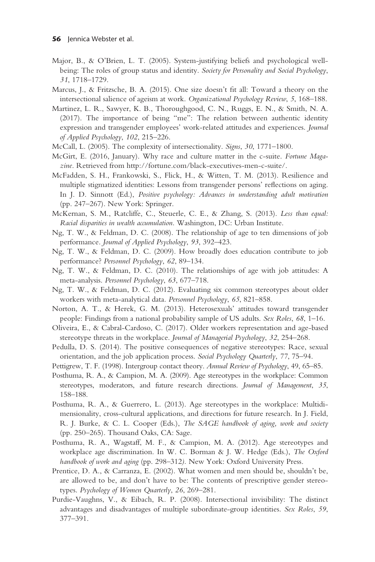- Major, B., & O'Brien, L. T. (2005). System-justifying beliefs and psychological wellbeing: The roles of group status and identity. *Society for Personality and Social Psychology*, *31*, 1718–1729.
- Marcus, J., & Fritzsche, B. A. (2015). One size doesn't ft all: Toward a theory on the intersectional salience of ageism at work. *Organizational Psychology Review*, *5*, 168–188.
- Martinez, L. R., Sawyer, K. B., Thoroughgood, C. N., Ruggs, E. N., & Smith, N. A. (2017). The importance of being "me": The relation between authentic identity expression and transgender employees' work-related attitudes and experiences. *Journal of Applied Psychology*, *102*, 215–226.
- McCall, L. (2005). The complexity of intersectionality. *Signs*, *30*, 1771–1800.
- McGirt, E. (2016, January). Why race and culture matter in the c-suite. *Fortune Magazine*. Retrieved from [http://fortune.com/black-executives-men-c-suite/.](http://fortune.com)
- McFadden, S. H., Frankowski, S., Flick, H., & Witten, T. M. (2013). Resilience and multiple stigmatized identities: Lessons from transgender persons' refections on aging. In J. D. Sinnott (Ed.), *Positive psychology: Advances in understanding adult motivation*  (pp. 247–267). New York: Springer.
- McKernan, S. M., Ratcliffe, C., Steuerle, C. E., & Zhang, S. (2013). *Less than equal: Racial disparities in wealth accumulation*. Washington, DC: Urban Institute.
- Ng, T. W., & Feldman, D. C. (2008). The relationship of age to ten dimensions of job performance. *Journal of Applied Psychology*, *93*, 392–423.
- Ng, T. W., & Feldman, D. C. (2009). How broadly does education contribute to job performance? *Personnel Psychology*, *62*, 89–134.
- Ng, T. W., & Feldman, D. C. (2010). The relationships of age with job attitudes: A meta-analysis. *Personnel Psychology*, *63*, 677–718.
- Ng, T. W., & Feldman, D. C. (2012). Evaluating six common stereotypes about older workers with meta-analytical data. *Personnel Psychology*, *65*, 821–858.
- Norton, A. T., & Herek, G. M. (2013). Heterosexuals' attitudes toward transgender people: Findings from a national probability sample of US adults. *Sex Roles*, *68*, 1*–*16.
- Oliveira, E., & Cabral-Cardoso, C. (2017). Older workers representation and age-based stereotype threats in the workplace. *Journal of Managerial Psychology*, *32*, 254–268.
- Pedulla, D. S. (2014). The positive consequences of negative stereotypes: Race, sexual orientation, and the job application process. *Social Psychology Quarterly*, *77*, 75–94.
- Pettigrew, T. F. (1998). Intergroup contact theory. *Annual Review of Psychology*, 49, 65–85.
- Posthuma, R. A., & Campion, M. A. (2009). Age stereotypes in the workplace: Common stereotypes, moderators, and future research directions. *Journal of Management*, *35*, 158–188.
- Posthuma, R. A., & Guerrero, L. (2013). Age stereotypes in the workplace: Multidimensionality, cross-cultural applications, and directions for future research. In J. Field, R. J. Burke, & C. L. Cooper (Eds.), *The SAGE handbook of aging, work and society*  (pp. 250–265). Thousand Oaks, CA: Sage.
- Posthuma, R. A., Wagstaff, M. F., & Campion, M. A. (2012). Age stereotypes and workplace age discrimination. In W. C. Borman & J. W. Hedge (Eds.), *The Oxford handbook of work and aging* (pp. 298–312*).* New York: Oxford University Press.
- Prentice, D. A., & Carranza, E. (2002). What women and men should be, shouldn't be, are allowed to be, and don't have to be: The contents of prescriptive gender stereotypes. *Psychology of Women Quarterly*, *26*, 269–281.
- Purdie-Vaughns, V., & Eibach, R. P. (2008). Intersectional invisibility: The distinct advantages and disadvantages of multiple subordinate-group identities. *Sex Roles*, *59*, 377–391.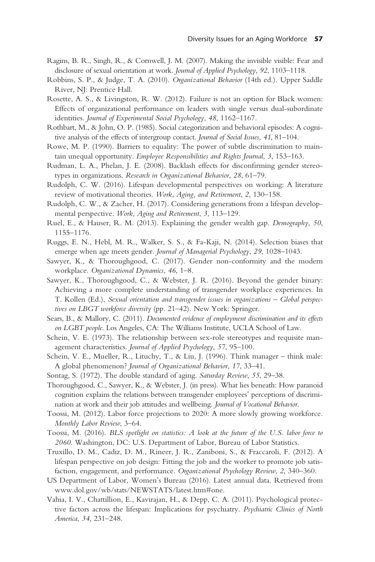- Ragins, B. R., Singh, R., & Cornwell, J. M. (2007). Making the invisible visible: Fear and disclosure of sexual orientation at work. *Journal of Applied Psychology*, *92*, 1103–1118.
- Robbins, S. P., & Judge, T. A. (2010). *Organizational Behavior* (14th ed.)*.* Upper Saddle River, NJ: Prentice Hall.
- Rosette, A. S., & Livingston, R. W. (2012). Failure is not an option for Black women: Effects of organizational performance on leaders with single versus dual-subordinate identities. *Journal of Experimental Social Psychology*, *48*, 1162–1167.
- Rothbart, M., & John, O. P. (1985). Social categorization and behavioral episodes: A cognitive analysis of the effects of intergroup contact. *Journal of Social Issues*, *41*, 81–104.
- Rowe, M. P. (1990). Barriers to equality: The power of subtle discrimination to maintain unequal opportunity. *Employee Responsibilities and Rights Journal*, *3*, 153–163.
- Rudman, L. A., Phelan, J. E. (2008). Backlash effects for disconfrming gender stereotypes in organizations. *Research in Organizational Behavior*, *28*, 61–79.
- Rudolph, C. W. (2016). Lifespan developmental perspectives on working: A literature review of motivational theories. *Work, Aging, and Retirement*, *2*, 130–158.
- Rudolph, C. W., & Zacher, H. (2017). Considering generations from a lifespan developmental perspective. *Work, Aging and Retirement*, *3*, 113–129.
- Ruel, E., & Hauser, R. M. (2013). Explaining the gender wealth gap. *Demography*, *50*, 1155–1176.
- Ruggs, E. N., Hebl, M. R., Walker, S. S., & Fa-Kaji, N. (2014). Selection biases that emerge when age meets gender. *Journal of Managerial Psychology*, *29*, 1028–1043.
- Sawyer, K., & Thoroughgood, C. (2017). Gender non-conformity and the modern workplace. *Organizational Dynamics*, *46*, 1–8.
- Sawyer, K., Thoroughgood, C., & Webster, J. R. (2016). Beyond the gender binary: Achieving a more complete understanding of transgender workplace experiences. In T. Kollen (Ed.), *Sexual orientation and transgender issues in organizations – Global perspectives on LBGT workforce diversity* (pp. 21–42)*.* New York: Springer.
- Sears, B., & Mallory, C. (2011). *Documented evidence of employment discrimination and its effects on LGBT people*. Los Angeles, CA: The Williams Institute, UCLA School of Law.
- Schein, V. E. (1973). The relationship between sex-role stereotypes and requisite management characteristics. *Journal of Applied Psychology*, *57*, 95–100.
- Schein, V. E., Mueller, R., Lituchy, T., & Liu, J. (1996). Think manager think male: A global phenomenon? *Journal of Organizational Behavior*, *17*, 33–41.
- Sontag, S. (1972). The double standard of aging. *Saturday Review*, *55*, 29–38.
- Thoroughgood, C., Sawyer, K., & Webster, J. (in press). What lies beneath: How paranoid cognition explains the relations between transgender employees' perceptions of discrimination at work and their job attitudes and wellbeing. *Journal of Vocational Behavior*.
- Toossi, M. (2012). Labor force projections to 2020: A more slowly growing workforce. *Monthly Labor Review*, 3–64.
- Toossi, M. (2016). *BLS spotlight on statistics: A look at the future of the U.S. labor force to 2060*. Washington, DC: U.S. Department of Labor, Bureau of Labor Statistics.
- Truxillo, D. M., Cadiz, D. M., Rineer, J. R., Zaniboni, S., & Fraccaroli, F. (2012). A lifespan perspective on job design: Fitting the job and the worker to promote job satisfaction, engagement, and performance. *Organizational Psychology Review*, *2*, 340–360.
- US Department of Labor, Women's Bureau (2016). Latest annual data. Retrieved from [www.dol.gov/wb/stats/NEWSTATS/latest.htm#one.](www.dol.gov)
- Vahia, I. V., Chattillion, E., Kavirajan, H., & Depp, C. A. (2011). Psychological protective factors across the lifespan: Implications for psychiatry. *Psychiatric Clinics of North America*, *34*, 231–248.